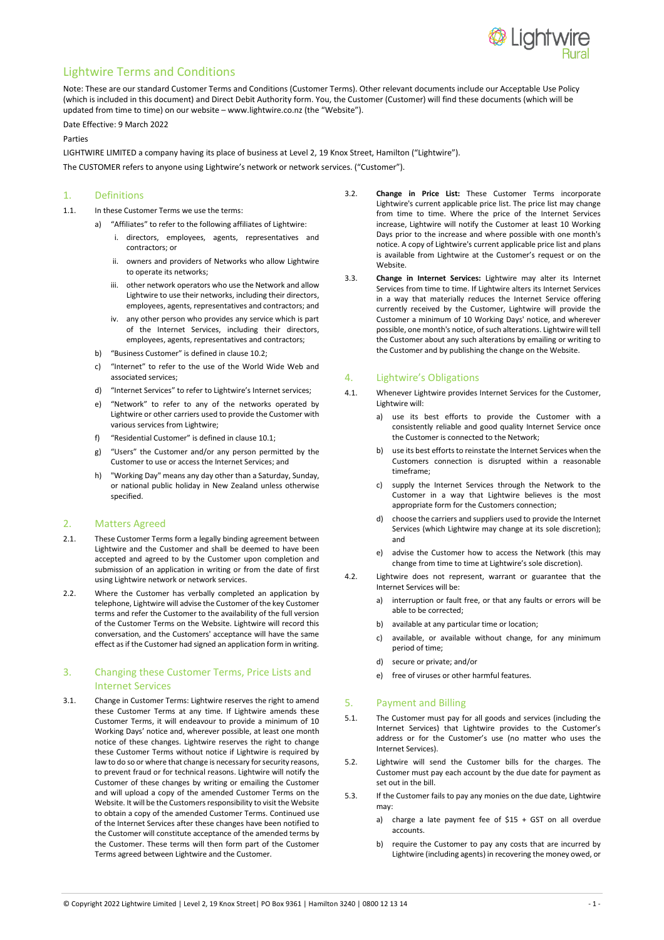

# Lightwire Terms and Conditions

Note: These are our standard Customer Terms and Conditions (Customer Terms). Other relevant documents include our Acceptable Use Policy (which is included in this document) and Direct Debit Authority form. You, the Customer (Customer) will find these documents (which will be updated from time to time) on our website – www.lightwire.co.nz (the "Website").

#### Date Effective: 9 March 2022

#### Parties

LIGHTWIRE LIMITED a company having its place of business at Level 2, 19 Knox Street, Hamilton ("Lightwire"). The CUSTOMER refers to anyone using Lightwire's network or network services. ("Customer").

# 1. Definitions

- 1.1. In these Customer Terms we use the terms:
	- a) "Affiliates" to refer to the following affiliates of Lightwire:
		- i. directors, employees, agents, representatives and contractors; or
		- ii. owners and providers of Networks who allow Lightwire to operate its networks;
		- iii. other network operators who use the Network and allow Lightwire to use their networks, including their directors, employees, agents, representatives and contractors; and
		- iv. any other person who provides any service which is part of the Internet Services, including their directors, employees, agents, representatives and contractors;
	- b) "Business Customer" is defined in clause 10.2;
	- c) "Internet" to refer to the use of the World Wide Web and associated services;
	- d) "Internet Services" to refer to Lightwire's Internet services;
	- e) "Network" to refer to any of the networks operated by Lightwire or other carriers used to provide the Customer with various services from Lightwire;
	- f) "Residential Customer" is defined in clause 10.1;
	- g) "Users" the Customer and/or any person permitted by the Customer to use or access the Internet Services; and
	- h) "Working Day" means any day other than a Saturday, Sunday, or national public holiday in New Zealand unless otherwise specified.

#### 2. Matters Agreed

- 2.1. These Customer Terms form a legally binding agreement between Lightwire and the Customer and shall be deemed to have been accepted and agreed to by the Customer upon completion and submission of an application in writing or from the date of first using Lightwire network or network services.
- 2.2. Where the Customer has verbally completed an application by telephone, Lightwire will advise the Customer of the key Customer terms and refer the Customer to the availability of the full version of the Customer Terms on the Website. Lightwire will record this conversation, and the Customers' acceptance will have the same effect as if the Customer had signed an application form in writing.

# 3. Changing these Customer Terms, Price Lists and Internet Services

3.1. Change in Customer Terms: Lightwire reserves the right to amend these Customer Terms at any time. If Lightwire amends these Customer Terms, it will endeavour to provide a minimum of 10 Working Days' notice and, wherever possible, at least one month notice of these changes. Lightwire reserves the right to change these Customer Terms without notice if Lightwire is required by law to do so or where that change is necessary for security reasons, to prevent fraud or for technical reasons. Lightwire will notify the Customer of these changes by writing or emailing the Customer and will upload a copy of the amended Customer Terms on the Website. It will be the Customers responsibility to visit the Website to obtain a copy of the amended Customer Terms. Continued use of the Internet Services after these changes have been notified to the Customer will constitute acceptance of the amended terms by the Customer. These terms will then form part of the Customer Terms agreed between Lightwire and the Customer.

- 3.2. **Change in Price List:** These Customer Terms incorporate Lightwire's current applicable price list. The price list may change from time to time. Where the price of the Internet Services increase, Lightwire will notify the Customer at least 10 Working Days prior to the increase and where possible with one month's notice. A copy of Lightwire's current applicable price list and plans is available from Lightwire at the Customer's request or on the Website.
- 3.3. **Change in Internet Services:** Lightwire may alter its Internet Services from time to time. If Lightwire alters its Internet Services in a way that materially reduces the Internet Service offering currently received by the Customer, Lightwire will provide the Customer a minimum of 10 Working Days' notice, and wherever possible, one month's notice, of such alterations. Lightwire will tell the Customer about any such alterations by emailing or writing to the Customer and by publishing the change on the Website.

# 4. Lightwire's Obligations

- 4.1. Whenever Lightwire provides Internet Services for the Customer, Lightwire will:
	- a) use its best efforts to provide the Customer with a consistently reliable and good quality Internet Service once the Customer is connected to the Network;
	- b) use its best efforts to reinstate the Internet Services when the Customers connection is disrupted within a reasonable timeframe;
	- c) supply the Internet Services through the Network to the Customer in a way that Lightwire believes is the most appropriate form for the Customers connection;
	- d) choose the carriers and suppliers used to provide the Internet Services (which Lightwire may change at its sole discretion); and
	- e) advise the Customer how to access the Network (this may change from time to time at Lightwire's sole discretion).
- 4.2. Lightwire does not represent, warrant or guarantee that the Internet Services will be:
	- a) interruption or fault free, or that any faults or errors will be able to be corrected;
	- b) available at any particular time or location;
	- c) available, or available without change, for any minimum period of time;
	- d) secure or private; and/or
	- e) free of viruses or other harmful features.

#### 5. Payment and Billing

- 5.1. The Customer must pay for all goods and services (including the Internet Services) that Lightwire provides to the Customer's address or for the Customer's use (no matter who uses the Internet Services).
- 5.2. Lightwire will send the Customer bills for the charges. The Customer must pay each account by the due date for payment as set out in the bill.
- 5.3. If the Customer fails to pay any monies on the due date, Lightwire may:
	- a) charge a late payment fee of \$15 + GST on all overdue accounts.
	- b) require the Customer to pay any costs that are incurred by Lightwire (including agents) in recovering the money owed, or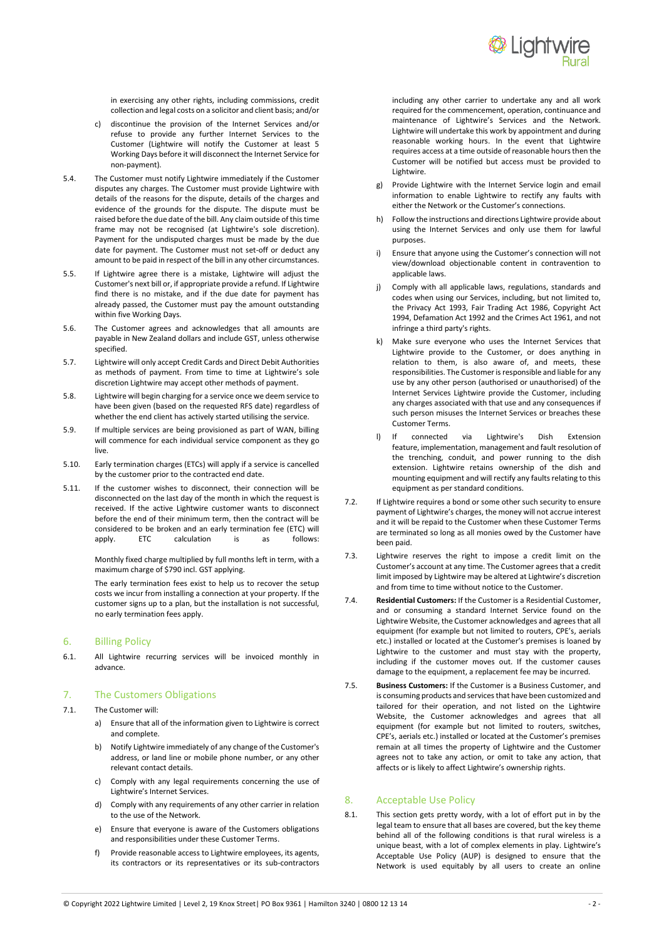

in exercising any other rights, including commissions, credit collection and legal costs on a solicitor and client basis; and/or

- c) discontinue the provision of the Internet Services and/or refuse to provide any further Internet Services to the Customer (Lightwire will notify the Customer at least 5 Working Days before it will disconnect the Internet Service for non-payment).
- 5.4. The Customer must notify Lightwire immediately if the Customer disputes any charges. The Customer must provide Lightwire with details of the reasons for the dispute, details of the charges and evidence of the grounds for the dispute. The dispute must be raised before the due date of the bill. Any claim outside of this time frame may not be recognised (at Lightwire's sole discretion). Payment for the undisputed charges must be made by the due date for payment. The Customer must not set-off or deduct any amount to be paid in respect of the bill in any other circumstances.
- 5.5. If Lightwire agree there is a mistake, Lightwire will adjust the Customer's next bill or, if appropriate provide a refund. If Lightwire find there is no mistake, and if the due date for payment has already passed, the Customer must pay the amount outstanding within five Working Days.
- 5.6. The Customer agrees and acknowledges that all amounts are payable in New Zealand dollars and include GST, unless otherwise specified.
- 5.7. Lightwire will only accept Credit Cards and Direct Debit Authorities as methods of payment. From time to time at Lightwire's sole discretion Lightwire may accept other methods of payment.
- 5.8. Lightwire will begin charging for a service once we deem service to have been given (based on the requested RFS date) regardless of whether the end client has actively started utilising the service.
- 5.9. If multiple services are being provisioned as part of WAN, billing will commence for each individual service component as they go live.
- 5.10. Early termination charges (ETCs) will apply if a service is cancelled by the customer prior to the contracted end date.
- 5.11. If the customer wishes to disconnect, their connection will be disconnected on the last day of the month in which the request is received. If the active Lightwire customer wants to disconnect before the end of their minimum term, then the contract will be considered to be broken and an early termination fee (ETC) will<br>apply. ETC calculation is as follows: apply. ETC calculation

Monthly fixed charge multiplied by full months left in term, with a maximum charge of \$790 incl. GST applying.

The early termination fees exist to help us to recover the setup costs we incur from installing a connection at your property. If the customer signs up to a plan, but the installation is not successful, no early termination fees apply.

### 6. Billing Policy

6.1. All Lightwire recurring services will be invoiced monthly in advance.

# 7. The Customers Obligations

- 7.1. The Customer will:
	- a) Ensure that all of the information given to Lightwire is correct and complete.
	- b) Notify Lightwire immediately of any change of the Customer's address, or land line or mobile phone number, or any other relevant contact details.
	- c) Comply with any legal requirements concerning the use of Lightwire's Internet Services.
	- d) Comply with any requirements of any other carrier in relation to the use of the Network.
	- e) Ensure that everyone is aware of the Customers obligations and responsibilities under these Customer Terms.
	- f) Provide reasonable access to Lightwire employees, its agents, its contractors or its representatives or its sub-contractors

including any other carrier to undertake any and all work required for the commencement, operation, continuance and maintenance of Lightwire's Services and the Network. Lightwire will undertake this work by appointment and during reasonable working hours. In the event that Lightwire requires access at a time outside of reasonable hours then the Customer will be notified but access must be provided to Lightwire.

- g) Provide Lightwire with the Internet Service login and email information to enable Lightwire to rectify any faults with either the Network or the Customer's connections.
- h) Follow the instructions and directions Lightwire provide about using the Internet Services and only use them for lawful purposes.
- i) Ensure that anyone using the Customer's connection will not view/download objectionable content in contravention to applicable laws.
- j) Comply with all applicable laws, regulations, standards and codes when using our Services, including, but not limited to, the Privacy Act 1993, Fair Trading Act 1986, Copyright Act 1994, Defamation Act 1992 and the Crimes Act 1961, and not infringe a third party's rights.
- k) Make sure everyone who uses the Internet Services that Lightwire provide to the Customer, or does anything in relation to them, is also aware of, and meets, these responsibilities. The Customer is responsible and liable for any use by any other person (authorised or unauthorised) of the Internet Services Lightwire provide the Customer, including any charges associated with that use and any consequences if such person misuses the Internet Services or breaches these Customer Terms.
- l) If connected via Lightwire's Dish Extension feature, implementation, management and fault resolution of the trenching, conduit, and power running to the dish extension. Lightwire retains ownership of the dish and mounting equipment and will rectify any faults relating to this equipment as per standard conditions.
- 7.2. If Lightwire requires a bond or some other such security to ensure payment of Lightwire's charges, the money will not accrue interest and it will be repaid to the Customer when these Customer Terms are terminated so long as all monies owed by the Customer have been paid.
- 7.3. Lightwire reserves the right to impose a credit limit on the Customer's account at any time. The Customer agrees that a credit limit imposed by Lightwire may be altered at Lightwire's discretion and from time to time without notice to the Customer.
- 7.4. **Residential Customers:** If the Customer is a Residential Customer, and or consuming a standard Internet Service found on the Lightwire Website, the Customer acknowledges and agrees that all equipment (for example but not limited to routers, CPE's, aerials etc.) installed or located at the Customer's premises is loaned by Lightwire to the customer and must stay with the property, including if the customer moves out. If the customer causes damage to the equipment, a replacement fee may be incurred.
- 7.5. **Business Customers:** If the Customer is a Business Customer, and is consuming products and services that have been customized and tailored for their operation, and not listed on the Lightwire Website, the Customer acknowledges and agrees that all equipment (for example but not limited to routers, switches, CPE's, aerials etc.) installed or located at the Customer's premises remain at all times the property of Lightwire and the Customer agrees not to take any action, or omit to take any action, that affects or is likely to affect Lightwire's ownership rights.

# 8. Acceptable Use Policy

8.1. This section gets pretty wordy, with a lot of effort put in by the legal team to ensure that all bases are covered, but the key theme behind all of the following conditions is that rural wireless is a unique beast, with a lot of complex elements in play. Lightwire's Acceptable Use Policy (AUP) is designed to ensure that the Network is used equitably by all users to create an online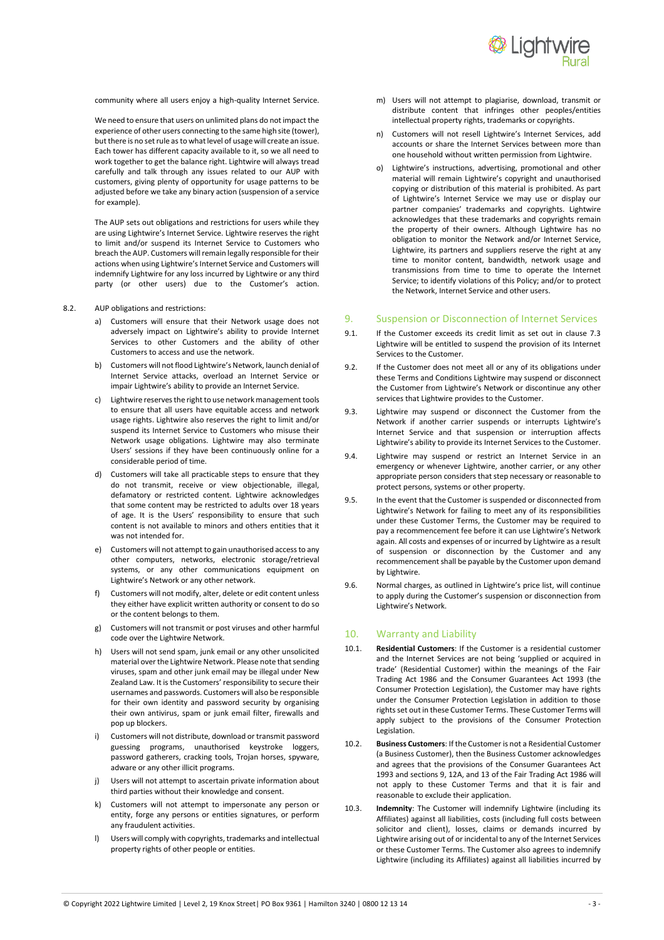

community where all users enjoy a high-quality Internet Service.

We need to ensure that users on unlimited plans do not impact the experience of other users connecting to the same high site (tower), but there is no set rule as to what level of usage will create an issue. Each tower has different capacity available to it, so we all need to work together to get the balance right. Lightwire will always tread carefully and talk through any issues related to our AUP with customers, giving plenty of opportunity for usage patterns to be adjusted before we take any binary action (suspension of a service for example).

The AUP sets out obligations and restrictions for users while they are using Lightwire's Internet Service. Lightwire reserves the right to limit and/or suspend its Internet Service to Customers who breach the AUP. Customers will remain legally responsible for their actions when using Lightwire's Internet Service and Customers will indemnify Lightwire for any loss incurred by Lightwire or any third party (or other users) due to the Customer's action.

- 8.2. AUP obligations and restrictions:
	- a) Customers will ensure that their Network usage does not adversely impact on Lightwire's ability to provide Internet Services to other Customers and the ability of other Customers to access and use the network.
	- b) Customers will not flood Lightwire's Network, launch denial of Internet Service attacks, overload an Internet Service or impair Lightwire's ability to provide an Internet Service.
	- c) Lightwire reserves the right to use network management tools to ensure that all users have equitable access and network usage rights. Lightwire also reserves the right to limit and/or suspend its Internet Service to Customers who misuse their Network usage obligations. Lightwire may also terminate Users' sessions if they have been continuously online for a considerable period of time.
	- d) Customers will take all practicable steps to ensure that they do not transmit, receive or view objectionable, illegal, defamatory or restricted content. Lightwire acknowledges that some content may be restricted to adults over 18 years of age. It is the Users' responsibility to ensure that such content is not available to minors and others entities that it was not intended for.
	- e) Customers will not attempt to gain unauthorised access to any other computers, networks, electronic storage/retrieval systems, or any other communications equipment on Lightwire's Network or any other network.
	- Customers will not modify, alter, delete or edit content unless they either have explicit written authority or consent to do so or the content belongs to them.
	- g) Customers will not transmit or post viruses and other harmful code over the Lightwire Network.
	- h) Users will not send spam, junk email or any other unsolicited material over the Lightwire Network. Please note that sending viruses, spam and other junk email may be illegal under New Zealand Law. It is the Customers' responsibility to secure their usernames and passwords. Customers will also be responsible for their own identity and password security by organising their own antivirus, spam or junk email filter, firewalls and pop up blockers.
	- Customers will not distribute, download or transmit password guessing programs, unauthorised keystroke loggers, password gatherers, cracking tools, Trojan horses, spyware, adware or any other illicit programs.
	- j) Users will not attempt to ascertain private information about third parties without their knowledge and consent.
	- k) Customers will not attempt to impersonate any person or entity, forge any persons or entities signatures, or perform any fraudulent activities.
	- l) Users will comply with copyrights, trademarks and intellectual property rights of other people or entities.
- m) Users will not attempt to plagiarise, download, transmit or distribute content that infringes other peoples/entities intellectual property rights, trademarks or copyrights.
- n) Customers will not resell Lightwire's Internet Services, add accounts or share the Internet Services between more than one household without written permission from Lightwire.
- o) Lightwire's instructions, advertising, promotional and other material will remain Lightwire's copyright and unauthorised copying or distribution of this material is prohibited. As part of Lightwire's Internet Service we may use or display our partner companies' trademarks and copyrights. Lightwire acknowledges that these trademarks and copyrights remain the property of their owners. Although Lightwire has no obligation to monitor the Network and/or Internet Service, Lightwire, its partners and suppliers reserve the right at any time to monitor content, bandwidth, network usage and transmissions from time to time to operate the Internet Service; to identify violations of this Policy; and/or to protect the Network, Internet Service and other users.

#### 9. Suspension or Disconnection of Internet Services

- 9.1. If the Customer exceeds its credit limit as set out in clause 7.3 Lightwire will be entitled to suspend the provision of its Internet Services to the Customer.
- 9.2. If the Customer does not meet all or any of its obligations under these Terms and Conditions Lightwire may suspend or disconnect the Customer from Lightwire's Network or discontinue any other services that Lightwire provides to the Customer.
- 9.3. Lightwire may suspend or disconnect the Customer from the Network if another carrier suspends or interrupts Lightwire's Internet Service and that suspension or interruption affects Lightwire's ability to provide its Internet Services to the Customer.
- 9.4. Lightwire may suspend or restrict an Internet Service in an emergency or whenever Lightwire, another carrier, or any other appropriate person considers that step necessary or reasonable to protect persons, systems or other property.
- 9.5. In the event that the Customer is suspended or disconnected from Lightwire's Network for failing to meet any of its responsibilities under these Customer Terms, the Customer may be required to pay a recommencement fee before it can use Lightwire's Network again. All costs and expenses of or incurred by Lightwire as a result of suspension or disconnection by the Customer and any recommencement shall be payable by the Customer upon demand by Lightwire.
- 9.6. Normal charges, as outlined in Lightwire's price list, will continue to apply during the Customer's suspension or disconnection from Lightwire's Network.

# 10. Warranty and Liability

- 10.1. **Residential Customers**: If the Customer is a residential customer and the Internet Services are not being 'supplied or acquired in trade' (Residential Customer) within the meanings of the Fair Trading Act 1986 and the Consumer Guarantees Act 1993 (the Consumer Protection Legislation), the Customer may have rights under the Consumer Protection Legislation in addition to those rights set out in these Customer Terms. These Customer Terms will apply subject to the provisions of the Consumer Protection Legislation.
- 10.2. **Business Customers**: If the Customer is not a Residential Customer (a Business Customer), then the Business Customer acknowledges and agrees that the provisions of the Consumer Guarantees Act 1993 and sections 9, 12A, and 13 of the Fair Trading Act 1986 will not apply to these Customer Terms and that it is fair and reasonable to exclude their application.
- 10.3. **Indemnity**: The Customer will indemnify Lightwire (including its Affiliates) against all liabilities, costs (including full costs between solicitor and client), losses, claims or demands incurred by Lightwire arising out of or incidental to any of the Internet Services or these Customer Terms. The Customer also agrees to indemnify Lightwire (including its Affiliates) against all liabilities incurred by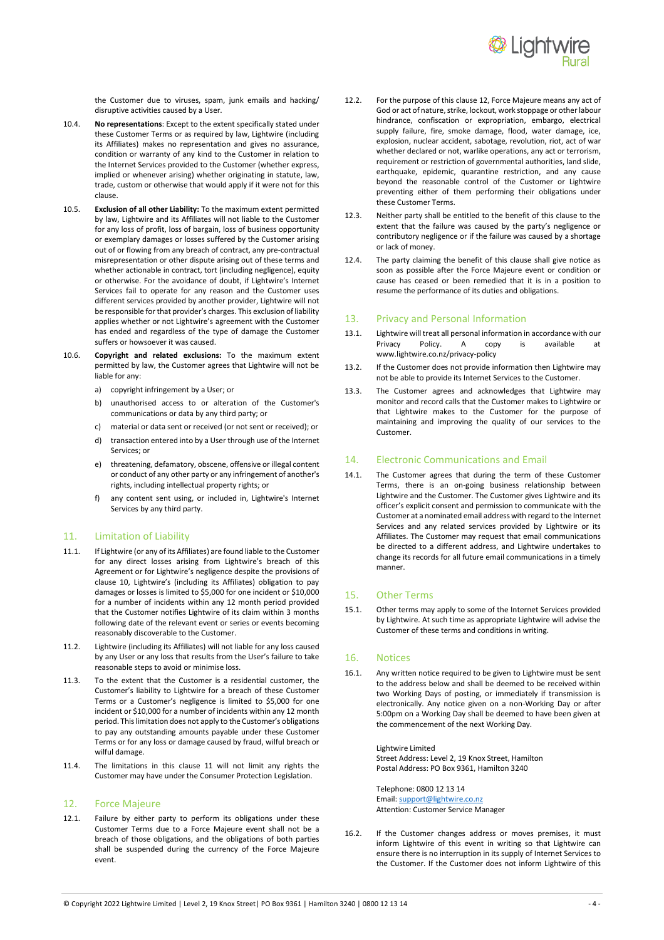

the Customer due to viruses, spam, junk emails and hacking/ disruptive activities caused by a User.

- 10.4. **No representations**: Except to the extent specifically stated under these Customer Terms or as required by law, Lightwire (including its Affiliates) makes no representation and gives no assurance, condition or warranty of any kind to the Customer in relation to the Internet Services provided to the Customer (whether express, implied or whenever arising) whether originating in statute, law, trade, custom or otherwise that would apply if it were not for this clause.
- 10.5. **Exclusion of all other Liability:** To the maximum extent permitted by law, Lightwire and its Affiliates will not liable to the Customer for any loss of profit, loss of bargain, loss of business opportunity or exemplary damages or losses suffered by the Customer arising out of or flowing from any breach of contract, any pre-contractual misrepresentation or other dispute arising out of these terms and whether actionable in contract, tort (including negligence), equity or otherwise. For the avoidance of doubt, if Lightwire's Internet Services fail to operate for any reason and the Customer uses different services provided by another provider, Lightwire will not be responsible for that provider's charges. This exclusion of liability applies whether or not Lightwire's agreement with the Customer has ended and regardless of the type of damage the Customer suffers or howsoever it was caused.
- 10.6. **Copyright and related exclusions:** To the maximum extent permitted by law, the Customer agrees that Lightwire will not be liable for any:
	- a) copyright infringement by a User; or
	- b) unauthorised access to or alteration of the Customer's communications or data by any third party; or
	- c) material or data sent or received (or not sent or received); or
	- d) transaction entered into by a User through use of the Internet Services; or
	- e) threatening, defamatory, obscene, offensive or illegal content or conduct of any other party or any infringement of another's rights, including intellectual property rights; or
	- f) any content sent using, or included in, Lightwire's Internet Services by any third party.

#### 11. Limitation of Liability

- 11.1. If Lightwire (or any of its Affiliates) are found liable to the Customer for any direct losses arising from Lightwire's breach of this Agreement or for Lightwire's negligence despite the provisions of clause 10, Lightwire's (including its Affiliates) obligation to pay damages or losses is limited to \$5,000 for one incident or \$10,000 for a number of incidents within any 12 month period provided that the Customer notifies Lightwire of its claim within 3 months following date of the relevant event or series or events becoming reasonably discoverable to the Customer.
- 11.2. Lightwire (including its Affiliates) will not liable for any loss caused by any User or any loss that results from the User's failure to take reasonable steps to avoid or minimise loss.
- 11.3. To the extent that the Customer is a residential customer, the Customer's liability to Lightwire for a breach of these Customer Terms or a Customer's negligence is limited to \$5,000 for one incident or \$10,000 for a number of incidents within any 12 month period. This limitation does not apply to the Customer's obligations to pay any outstanding amounts payable under these Customer Terms or for any loss or damage caused by fraud, wilful breach or wilful damage.
- 11.4. The limitations in this clause 11 will not limit any rights the Customer may have under the Consumer Protection Legislation.

#### 12. Force Majeure

12.1. Failure by either party to perform its obligations under these Customer Terms due to a Force Majeure event shall not be a breach of those obligations, and the obligations of both parties shall be suspended during the currency of the Force Majeure event.

- 12.2. For the purpose of this clause 12, Force Majeure means any act of God or act of nature, strike, lockout, work stoppage or other labour hindrance, confiscation or expropriation, embargo, electrical supply failure, fire, smoke damage, flood, water damage, ice, explosion, nuclear accident, sabotage, revolution, riot, act of war whether declared or not, warlike operations, any act or terrorism, requirement or restriction of governmental authorities, land slide, earthquake, epidemic, quarantine restriction, and any cause beyond the reasonable control of the Customer or Lightwire preventing either of them performing their obligations under these Customer Terms.
- 12.3. Neither party shall be entitled to the benefit of this clause to the extent that the failure was caused by the party's negligence or contributory negligence or if the failure was caused by a shortage or lack of money.
- 12.4. The party claiming the benefit of this clause shall give notice as soon as possible after the Force Majeure event or condition or cause has ceased or been remedied that it is in a position to resume the performance of its duties and obligations.

### 13. Privacy and Personal Information

- 13.1. Lightwire will treat all personal information in accordance with our<br>Privacy Policy. A copy is available at Privacy Policy. A copy is available at www.lightwire.co.nz/privacy-policy
- 13.2. If the Customer does not provide information then Lightwire may not be able to provide its Internet Services to the Customer.
- 13.3. The Customer agrees and acknowledges that Lightwire may monitor and record calls that the Customer makes to Lightwire or that Lightwire makes to the Customer for the purpose of maintaining and improving the quality of our services to the Customer.

#### 14. Electronic Communications and Email

14.1. The Customer agrees that during the term of these Customer Terms, there is an on-going business relationship between Lightwire and the Customer. The Customer gives Lightwire and its officer's explicit consent and permission to communicate with the Customer at a nominated email address with regard to the Internet Services and any related services provided by Lightwire or its Affiliates. The Customer may request that email communications be directed to a different address, and Lightwire undertakes to change its records for all future email communications in a timely manner.

#### 15. Other Terms

15.1. Other terms may apply to some of the Internet Services provided by Lightwire. At such time as appropriate Lightwire will advise the Customer of these terms and conditions in writing.

#### 16. Notices

16.1. Any written notice required to be given to Lightwire must be sent to the address below and shall be deemed to be received within two Working Days of posting, or immediately if transmission is electronically. Any notice given on a non-Working Day or after 5:00pm on a Working Day shall be deemed to have been given at the commencement of the next Working Day.

> Lightwire Limited Street Address: Level 2, 19 Knox Street, Hamilton Postal Address: PO Box 9361, Hamilton 3240

Telephone: 0800 12 13 14 Email[: support@lightwire.co.nz](mailto:support@lightwire.co.nz) Attention: Customer Service Manager

16.2. If the Customer changes address or moves premises, it must inform Lightwire of this event in writing so that Lightwire can ensure there is no interruption in its supply of Internet Services to the Customer. If the Customer does not inform Lightwire of this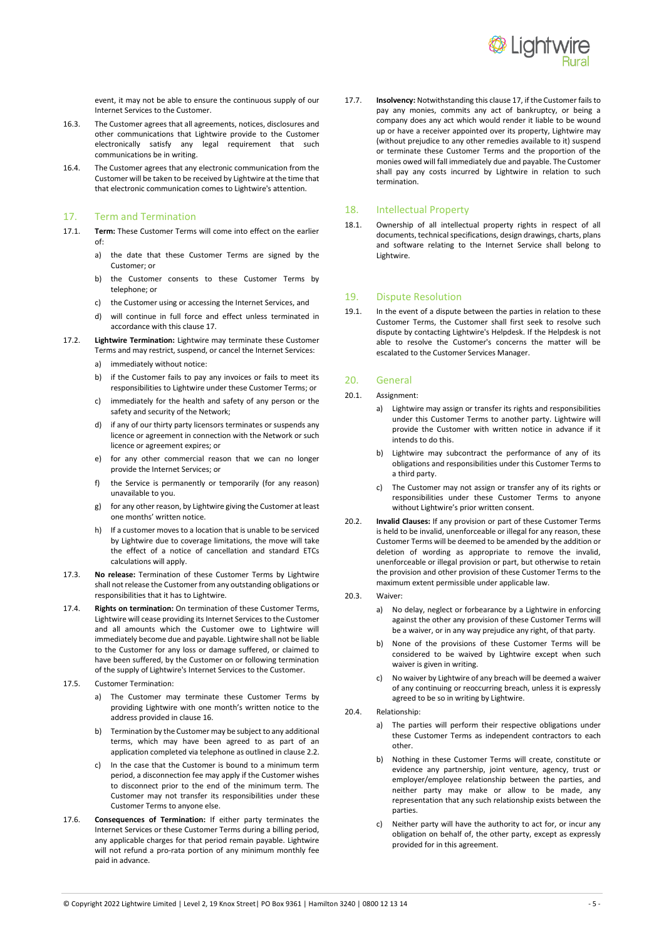

event, it may not be able to ensure the continuous supply of our Internet Services to the Customer.

- 16.3. The Customer agrees that all agreements, notices, disclosures and other communications that Lightwire provide to the Customer electronically satisfy any legal requirement that such communications be in writing.
- 16.4. The Customer agrees that any electronic communication from the Customer will be taken to be received by Lightwire at the time that that electronic communication comes to Lightwire's attention.

#### 17. Term and Termination

- 17.1. **Term:** These Customer Terms will come into effect on the earlier of:
	- a) the date that these Customer Terms are signed by the Customer; or
	- b) the Customer consents to these Customer Terms by telephone; or
	- c) the Customer using or accessing the Internet Services, and
	- d) will continue in full force and effect unless terminated in accordance with this clause 17.
- 17.2. **Lightwire Termination:** Lightwire may terminate these Customer Terms and may restrict, suspend, or cancel the Internet Services:
	- a) immediately without notice:
	- b) if the Customer fails to pay any invoices or fails to meet its responsibilities to Lightwire under these Customer Terms; or
	- c) immediately for the health and safety of any person or the safety and security of the Network;
	- d) if any of our thirty party licensors terminates or suspends any licence or agreement in connection with the Network or such licence or agreement expires; or
	- e) for any other commercial reason that we can no longer provide the Internet Services; or
	- f) the Service is permanently or temporarily (for any reason) unavailable to you.
	- g) for any other reason, by Lightwire giving the Customer at least one months' written notice.
	- h) If a customer moves to a location that is unable to be serviced by Lightwire due to coverage limitations, the move will take the effect of a notice of cancellation and standard ETCs calculations will apply.
- 17.3. **No release:** Termination of these Customer Terms by Lightwire shall not release the Customer from any outstanding obligations or responsibilities that it has to Lightwire.
- 17.4. **Rights on termination:** On termination of these Customer Terms, Lightwire will cease providing its Internet Services to the Customer and all amounts which the Customer owe to Lightwire will immediately become due and payable. Lightwire shall not be liable to the Customer for any loss or damage suffered, or claimed to have been suffered, by the Customer on or following termination of the supply of Lightwire's Internet Services to the Customer.
- 17.5. Customer Termination:
	- a) The Customer may terminate these Customer Terms by providing Lightwire with one month's written notice to the address provided in clause 16.
	- b) Termination by the Customer may be subject to any additional terms, which may have been agreed to as part of an application completed via telephone as outlined in clause 2.2.
	- c) In the case that the Customer is bound to a minimum term period, a disconnection fee may apply if the Customer wishes to disconnect prior to the end of the minimum term. The Customer may not transfer its responsibilities under these Customer Terms to anyone else.
- 17.6. **Consequences of Termination:** If either party terminates the Internet Services or these Customer Terms during a billing period, any applicable charges for that period remain payable. Lightwire will not refund a pro-rata portion of any minimum monthly fee paid in advance.

17.7. **Insolvency:** Notwithstanding this clause 17, if the Customer fails to pay any monies, commits any act of bankruptcy, or being a company does any act which would render it liable to be wound up or have a receiver appointed over its property, Lightwire may (without prejudice to any other remedies available to it) suspend or terminate these Customer Terms and the proportion of the monies owed will fall immediately due and payable. The Customer shall pay any costs incurred by Lightwire in relation to such termination.

# 18. Intellectual Property

18.1. Ownership of all intellectual property rights in respect of all documents, technical specifications, design drawings, charts, plans and software relating to the Internet Service shall belong to Lightwire.

#### 19. Dispute Resolution

19.1. In the event of a dispute between the parties in relation to these Customer Terms, the Customer shall first seek to resolve such dispute by contacting Lightwire's Helpdesk. If the Helpdesk is not able to resolve the Customer's concerns the matter will be escalated to the Customer Services Manager.

# 20. General

- 20.1. Assignment:
	- a) Lightwire may assign or transfer its rights and responsibilities under this Customer Terms to another party. Lightwire will provide the Customer with written notice in advance if it intends to do this.
	- b) Lightwire may subcontract the performance of any of its obligations and responsibilities under this Customer Terms to a third party.
	- c) The Customer may not assign or transfer any of its rights or responsibilities under these Customer Terms to anyone without Lightwire's prior written consent.
- 20.2. **Invalid Clauses:** If any provision or part of these Customer Terms is held to be invalid, unenforceable or illegal for any reason, these Customer Terms will be deemed to be amended by the addition or deletion of wording as appropriate to remove the invalid, unenforceable or illegal provision or part, but otherwise to retain the provision and other provision of these Customer Terms to the maximum extent permissible under applicable law.
- 20.3. Waiver:
	- a) No delay, neglect or forbearance by a Lightwire in enforcing against the other any provision of these Customer Terms will be a waiver, or in any way prejudice any right, of that party.
	- b) None of the provisions of these Customer Terms will be considered to be waived by Lightwire except when such waiver is given in writing.
	- c) No waiver by Lightwire of any breach will be deemed a waiver of any continuing or reoccurring breach, unless it is expressly agreed to be so in writing by Lightwire.
- 20.4. Relationship:
	- a) The parties will perform their respective obligations under these Customer Terms as independent contractors to each other.
	- b) Nothing in these Customer Terms will create, constitute or evidence any partnership, joint venture, agency, trust or employer/employee relationship between the parties, and neither party may make or allow to be made, any representation that any such relationship exists between the parties.
	- c) Neither party will have the authority to act for, or incur any obligation on behalf of, the other party, except as expressly provided for in this agreement.